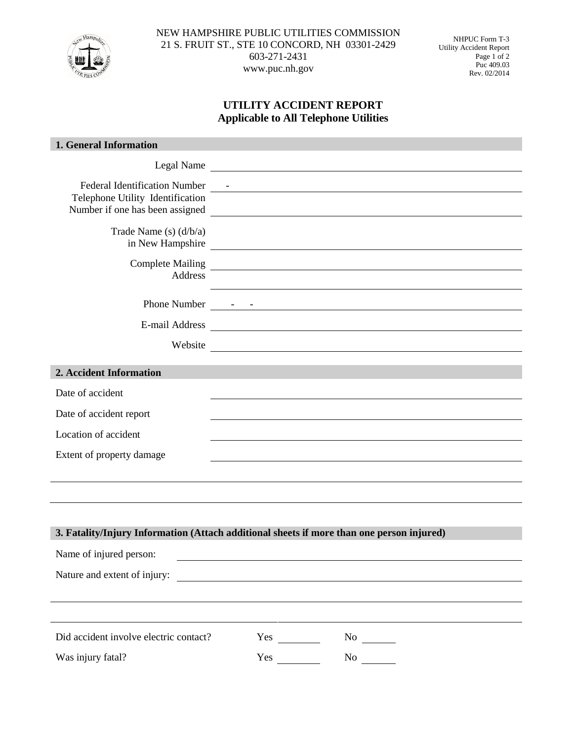

NEW HAMPSHIRE PUBLIC UTILITIES COMMISSION 21 S. FRUIT ST., STE 10 CONCORD, NH 03301-2429 603-271-2431 www.puc.nh.gov

NHPUC Form T-3 Utility Accident Report Page 1 of 2 Puc 409.03 Rev. 02/2014

## **UTILITY ACCIDENT REPORT Applicable to All Telephone Utilities**

| 1. General Information                                                                                      |                                                                                                                       |  |
|-------------------------------------------------------------------------------------------------------------|-----------------------------------------------------------------------------------------------------------------------|--|
| Legal Name                                                                                                  |                                                                                                                       |  |
| <b>Federal Identification Number</b><br>Telephone Utility Identification<br>Number if one has been assigned | <u> 1989 - Andrea Andrew Maria (h. 1989).</u><br><u> 1989 - Johann Barbara, martxa amerikan personal (h. 1989).</u>   |  |
| Trade Name (s) $(d/b/a)$                                                                                    | in New Hampshire                                                                                                      |  |
| Address                                                                                                     |                                                                                                                       |  |
|                                                                                                             |                                                                                                                       |  |
| E-mail Address                                                                                              | <u> 1980 - Johann Stein, fransk politik (f. 1980)</u>                                                                 |  |
| Website                                                                                                     |                                                                                                                       |  |
| 2. Accident Information                                                                                     |                                                                                                                       |  |
| Date of accident                                                                                            |                                                                                                                       |  |
| Date of accident report                                                                                     |                                                                                                                       |  |
| Location of accident                                                                                        |                                                                                                                       |  |
| Extent of property damage                                                                                   |                                                                                                                       |  |
|                                                                                                             |                                                                                                                       |  |
|                                                                                                             |                                                                                                                       |  |
| 3. Fatality/Injury Information (Attach additional sheets if more than one person injured)                   |                                                                                                                       |  |
| Name of injured person:                                                                                     |                                                                                                                       |  |
| Nature and extent of injury:                                                                                | <u> 1980 - Andrea Barbara, política establecera en la contrada de la contrada de la contrada de la contrada de la</u> |  |
|                                                                                                             |                                                                                                                       |  |
|                                                                                                             |                                                                                                                       |  |
| Did accident involve electric contact?                                                                      |                                                                                                                       |  |
| Was injury fatal?                                                                                           |                                                                                                                       |  |